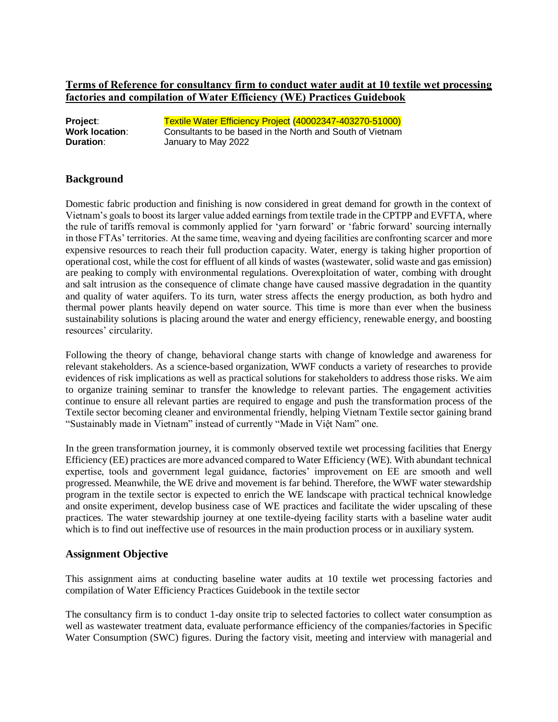# **Terms of Reference for consultancy firm to conduct water audit at 10 textile wet processing factories and compilation of Water Efficiency (WE) Practices Guidebook**

| Project:              | Textile Water Efficiency Project (40002347-403270-51000)  |
|-----------------------|-----------------------------------------------------------|
| <b>Work location:</b> | Consultants to be based in the North and South of Vietnam |
| <b>Duration:</b>      | January to May 2022                                       |

#### **Background**

Domestic fabric production and finishing is now considered in great demand for growth in the context of Vietnam's goals to boost its larger value added earnings from textile trade in the CPTPP and EVFTA, where the rule of tariffs removal is commonly applied for 'yarn forward' or 'fabric forward' sourcing internally in those FTAs' territories. At the same time, weaving and dyeing facilities are confronting scarcer and more expensive resources to reach their full production capacity. Water, energy is taking higher proportion of operational cost, while the cost for effluent of all kinds of wastes (wastewater, solid waste and gas emission) are peaking to comply with environmental regulations. Overexploitation of water, combing with drought and salt intrusion as the consequence of climate change have caused massive degradation in the quantity and quality of water aquifers. To its turn, water stress affects the energy production, as both hydro and thermal power plants heavily depend on water source. This time is more than ever when the business sustainability solutions is placing around the water and energy efficiency, renewable energy, and boosting resources' circularity.

Following the theory of change, behavioral change starts with change of knowledge and awareness for relevant stakeholders. As a science-based organization, WWF conducts a variety of researches to provide evidences of risk implications as well as practical solutions for stakeholders to address those risks. We aim to organize training seminar to transfer the knowledge to relevant parties. The engagement activities continue to ensure all relevant parties are required to engage and push the transformation process of the Textile sector becoming cleaner and environmental friendly, helping Vietnam Textile sector gaining brand "Sustainably made in Vietnam" instead of currently "Made in Việt Nam" one.

In the green transformation journey, it is commonly observed textile wet processing facilities that Energy Efficiency (EE) practices are more advanced compared to Water Efficiency (WE). With abundant technical expertise, tools and government legal guidance, factories' improvement on EE are smooth and well progressed. Meanwhile, the WE drive and movement is far behind. Therefore, the WWF water stewardship program in the textile sector is expected to enrich the WE landscape with practical technical knowledge and onsite experiment, develop business case of WE practices and facilitate the wider upscaling of these practices. The water stewardship journey at one textile-dyeing facility starts with a baseline water audit which is to find out ineffective use of resources in the main production process or in auxiliary system.

#### **Assignment Objective**

This assignment aims at conducting baseline water audits at 10 textile wet processing factories and compilation of Water Efficiency Practices Guidebook in the textile sector

The consultancy firm is to conduct 1-day onsite trip to selected factories to collect water consumption as well as wastewater treatment data, evaluate performance efficiency of the companies/factories in Specific Water Consumption (SWC) figures. During the factory visit, meeting and interview with managerial and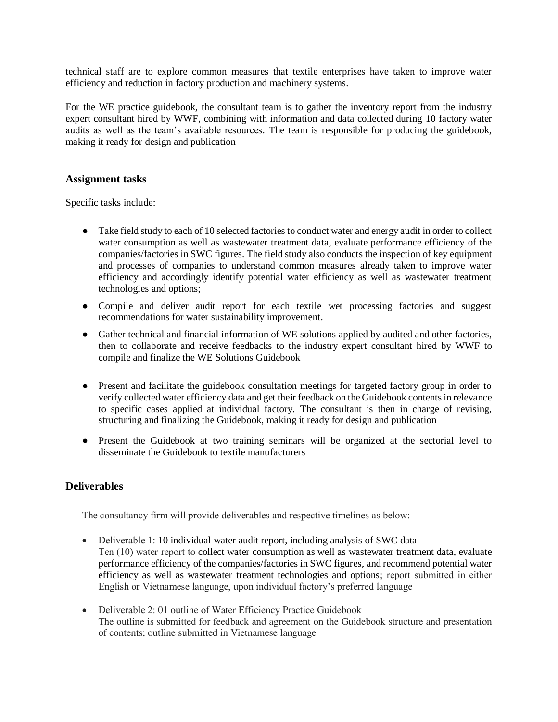technical staff are to explore common measures that textile enterprises have taken to improve water efficiency and reduction in factory production and machinery systems.

For the WE practice guidebook, the consultant team is to gather the inventory report from the industry expert consultant hired by WWF, combining with information and data collected during 10 factory water audits as well as the team's available resources. The team is responsible for producing the guidebook, making it ready for design and publication

### **Assignment tasks**

Specific tasks include:

- Take field study to each of 10 selected factories to conduct water and energy audit in order to collect water consumption as well as wastewater treatment data, evaluate performance efficiency of the companies/factories in SWC figures. The field study also conducts the inspection of key equipment and processes of companies to understand common measures already taken to improve water efficiency and accordingly identify potential water efficiency as well as wastewater treatment technologies and options;
- Compile and deliver audit report for each textile wet processing factories and suggest recommendations for water sustainability improvement.
- Gather technical and financial information of WE solutions applied by audited and other factories, then to collaborate and receive feedbacks to the industry expert consultant hired by WWF to compile and finalize the WE Solutions Guidebook
- Present and facilitate the guidebook consultation meetings for targeted factory group in order to verify collected water efficiency data and get their feedback on the Guidebook contents in relevance to specific cases applied at individual factory. The consultant is then in charge of revising, structuring and finalizing the Guidebook, making it ready for design and publication
- Present the Guidebook at two training seminars will be organized at the sectorial level to disseminate the Guidebook to textile manufacturers

## **Deliverables**

The consultancy firm will provide deliverables and respective timelines as below:

- Deliverable 1: 10 individual water audit report, including analysis of SWC data Ten (10) water report to collect water consumption as well as wastewater treatment data, evaluate performance efficiency of the companies/factories in SWC figures, and recommend potential water efficiency as well as wastewater treatment technologies and options; report submitted in either English or Vietnamese language, upon individual factory's preferred language
- Deliverable 2: 01 outline of Water Efficiency Practice Guidebook The outline is submitted for feedback and agreement on the Guidebook structure and presentation of contents; outline submitted in Vietnamese language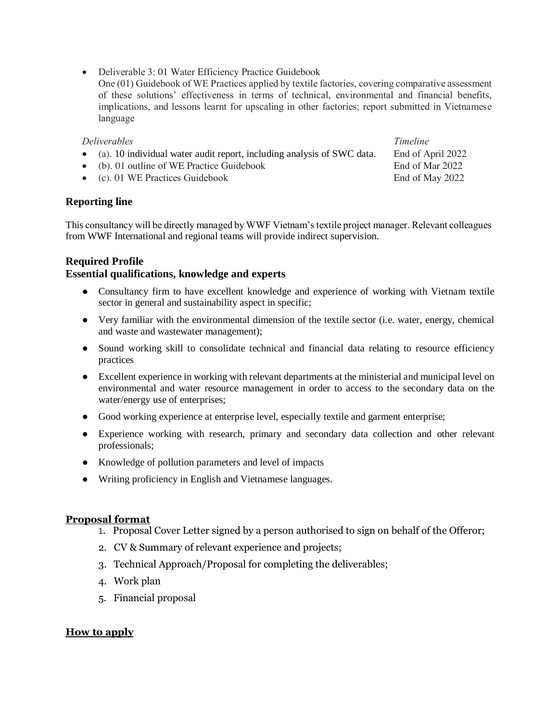- Deliverable 3: 01 Water Efficiency Practice Guidebook
- One (01) Guidebook of WE Practices applied by textile factories, covering comparative assessment of these solutions' effectiveness in terms of technical, environmental and financial benefits, implications, and lessons learnt for upscaling in other factories; report submitted in Vietnamese language

#### *Deliverables Timeline*

- (a). 10 individual water audit report, including analysis of SWC data. End of April 2022
- (b). 01 outline of WE Practice Guidebook End of Mar 2022
- (c). 01 WE Practices Guidebook End of May 2022

## **Reporting line**

This consultancy will be directly managed by WWF Vietnam's textile project manager. Relevant colleagues from WWF International and regional teams will provide indirect supervision.

## **Required Profile**

## **Essential qualifications, knowledge and experts**

- Consultancy firm to have excellent knowledge and experience of working with Vietnam textile sector in general and sustainability aspect in specific;
- Very familiar with the environmental dimension of the textile sector (i.e. water, energy, chemical and waste and wastewater management);
- Sound working skill to consolidate technical and financial data relating to resource efficiency practices
- Excellent experience in working with relevant departments at the ministerial and municipal level on environmental and water resource management in order to access to the secondary data on the water/energy use of enterprises;
- Good working experience at enterprise level, especially textile and garment enterprise;
- Experience working with research, primary and secondary data collection and other relevant professionals;
- Knowledge of pollution parameters and level of impacts
- Writing proficiency in English and Vietnamese languages.

## **Proposal format**

- 1. Proposal Cover Letter signed by a person authorised to sign on behalf of the Offeror;
- 2. CV & Summary of relevant experience and projects;
- 3. Technical Approach/Proposal for completing the deliverables;
- 4. Work plan
- 5. Financial proposal

## **How to apply**